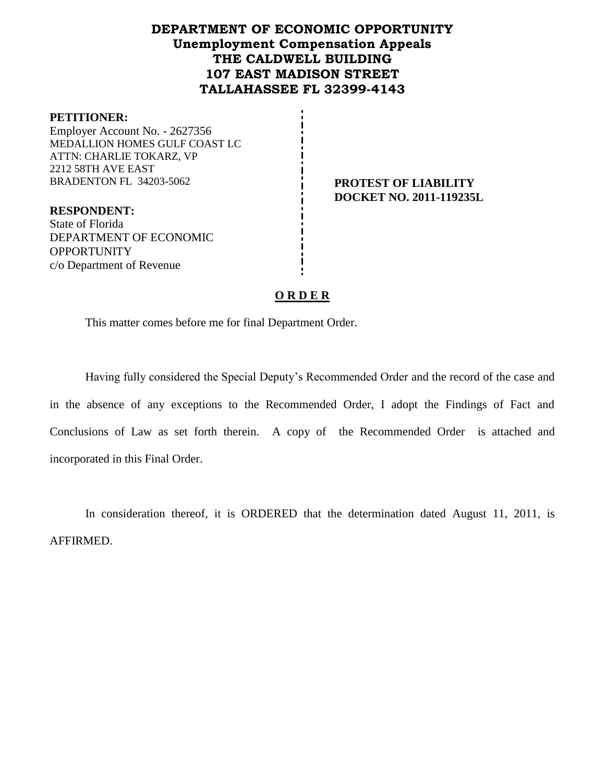# **DEPARTMENT OF ECONOMIC OPPORTUNITY Unemployment Compensation Appeals THE CALDWELL BUILDING 107 EAST MADISON STREET TALLAHASSEE FL 32399-4143**

#### **PETITIONER:**

Employer Account No. - 2627356 MEDALLION HOMES GULF COAST LC ATTN: CHARLIE TOKARZ, VP 2212 58TH AVE EAST BRADENTON FL 34203-5062 **PROTEST OF LIABILITY** 

**DOCKET NO. 2011-119235L**

**RESPONDENT:** State of Florida DEPARTMENT OF ECONOMIC **OPPORTUNITY** c/o Department of Revenue

### **O R D E R**

This matter comes before me for final Department Order.

Having fully considered the Special Deputy's Recommended Order and the record of the case and in the absence of any exceptions to the Recommended Order, I adopt the Findings of Fact and Conclusions of Law as set forth therein. A copy of the Recommended Order is attached and incorporated in this Final Order.

In consideration thereof, it is ORDERED that the determination dated August 11, 2011, is AFFIRMED.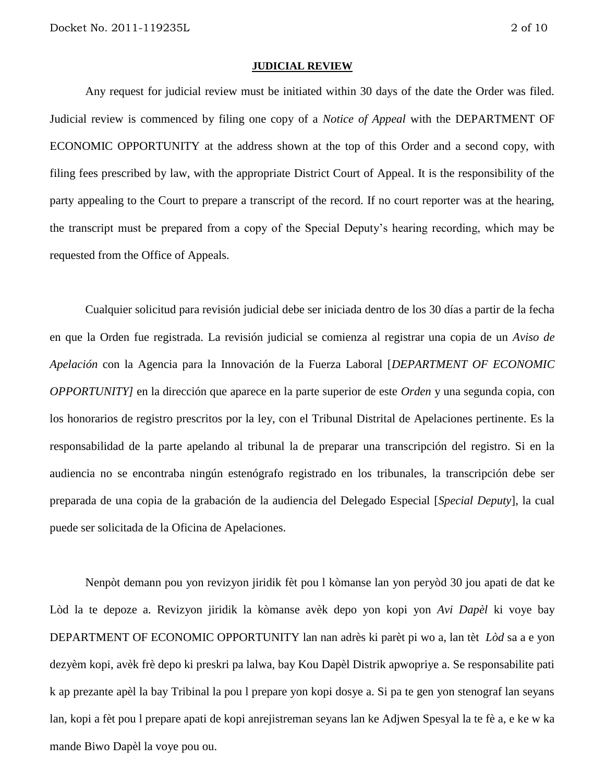#### **JUDICIAL REVIEW**

Any request for judicial review must be initiated within 30 days of the date the Order was filed. Judicial review is commenced by filing one copy of a *Notice of Appeal* with the DEPARTMENT OF ECONOMIC OPPORTUNITY at the address shown at the top of this Order and a second copy, with filing fees prescribed by law, with the appropriate District Court of Appeal. It is the responsibility of the party appealing to the Court to prepare a transcript of the record. If no court reporter was at the hearing, the transcript must be prepared from a copy of the Special Deputy's hearing recording, which may be requested from the Office of Appeals.

Cualquier solicitud para revisión judicial debe ser iniciada dentro de los 30 días a partir de la fecha en que la Orden fue registrada. La revisión judicial se comienza al registrar una copia de un *Aviso de Apelación* con la Agencia para la Innovación de la Fuerza Laboral [*DEPARTMENT OF ECONOMIC OPPORTUNITY]* en la dirección que aparece en la parte superior de este *Orden* y una segunda copia, con los honorarios de registro prescritos por la ley, con el Tribunal Distrital de Apelaciones pertinente. Es la responsabilidad de la parte apelando al tribunal la de preparar una transcripción del registro. Si en la audiencia no se encontraba ningún estenógrafo registrado en los tribunales, la transcripción debe ser preparada de una copia de la grabación de la audiencia del Delegado Especial [*Special Deputy*], la cual puede ser solicitada de la Oficina de Apelaciones.

Nenpòt demann pou yon revizyon jiridik fèt pou l kòmanse lan yon peryòd 30 jou apati de dat ke Lòd la te depoze a. Revizyon jiridik la kòmanse avèk depo yon kopi yon *Avi Dapèl* ki voye bay DEPARTMENT OF ECONOMIC OPPORTUNITY lan nan adrès ki parèt pi wo a, lan tèt *Lòd* sa a e yon dezyèm kopi, avèk frè depo ki preskri pa lalwa, bay Kou Dapèl Distrik apwopriye a. Se responsabilite pati k ap prezante apèl la bay Tribinal la pou l prepare yon kopi dosye a. Si pa te gen yon stenograf lan seyans lan, kopi a fèt pou l prepare apati de kopi anrejistreman seyans lan ke Adjwen Spesyal la te fè a, e ke w ka mande Biwo Dapèl la voye pou ou.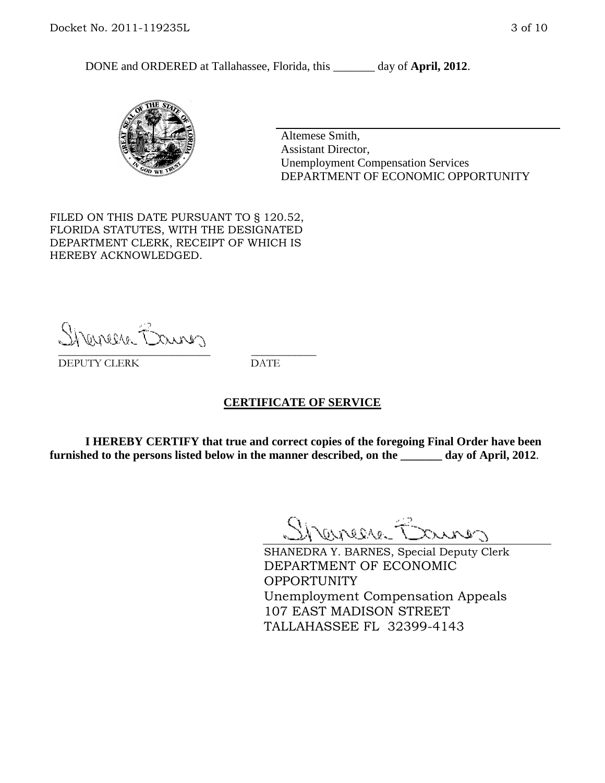DONE and ORDERED at Tallahassee, Florida, this day of **April, 2012**.



Altemese Smith, Assistant Director, Unemployment Compensation Services DEPARTMENT OF ECONOMIC OPPORTUNITY

FILED ON THIS DATE PURSUANT TO § 120.52, FLORIDA STATUTES, WITH THE DESIGNATED DEPARTMENT CLERK, RECEIPT OF WHICH IS HEREBY ACKNOWLEDGED.

Shemen Burn \_\_\_\_\_\_\_\_\_\_\_\_\_\_\_\_\_\_\_\_\_\_\_\_\_\_\_\_ \_\_\_\_\_\_\_\_\_\_\_\_

DEPUTY CLERK DATE

### **CERTIFICATE OF SERVICE**

**I HEREBY CERTIFY that true and correct copies of the foregoing Final Order have been furnished to the persons listed below in the manner described, on the \_\_\_\_\_\_\_ day of April, 2012**.

Shaner Barnes

SHANEDRA Y. BARNES, Special Deputy Clerk DEPARTMENT OF ECONOMIC OPPORTUNITY Unemployment Compensation Appeals 107 EAST MADISON STREET TALLAHASSEE FL 32399-4143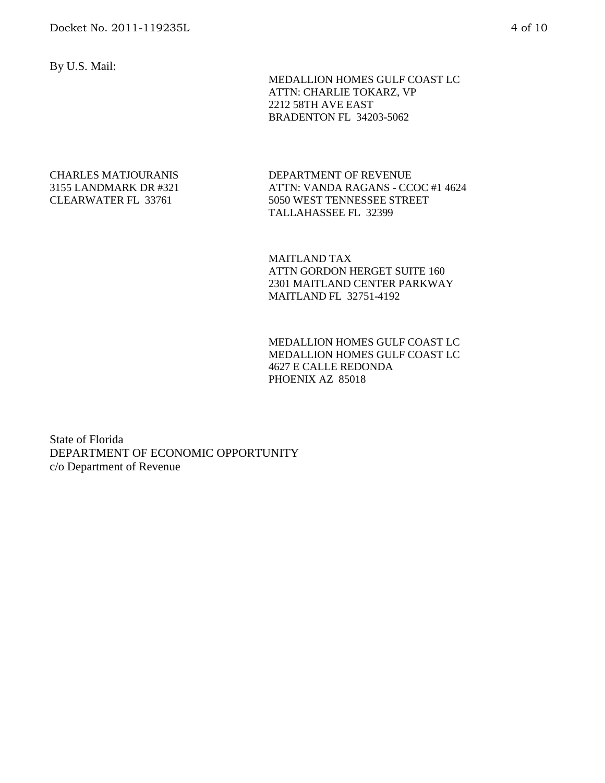By U.S. Mail:

 MEDALLION HOMES GULF COAST LC ATTN: CHARLIE TOKARZ, VP 2212 58TH AVE EAST BRADENTON FL 34203-5062

#### CHARLES MATJOURANIS 3155 LANDMARK DR #321 CLEARWATER FL 33761

DEPARTMENT OF REVENUE ATTN: VANDA RAGANS - CCOC #1 4624 5050 WEST TENNESSEE STREET TALLAHASSEE FL 32399

MAITLAND TAX ATTN GORDON HERGET SUITE 160 2301 MAITLAND CENTER PARKWAY MAITLAND FL 32751-4192

MEDALLION HOMES GULF COAST LC MEDALLION HOMES GULF COAST LC 4627 E CALLE REDONDA PHOENIX AZ 85018

State of Florida DEPARTMENT OF ECONOMIC OPPORTUNITY c/o Department of Revenue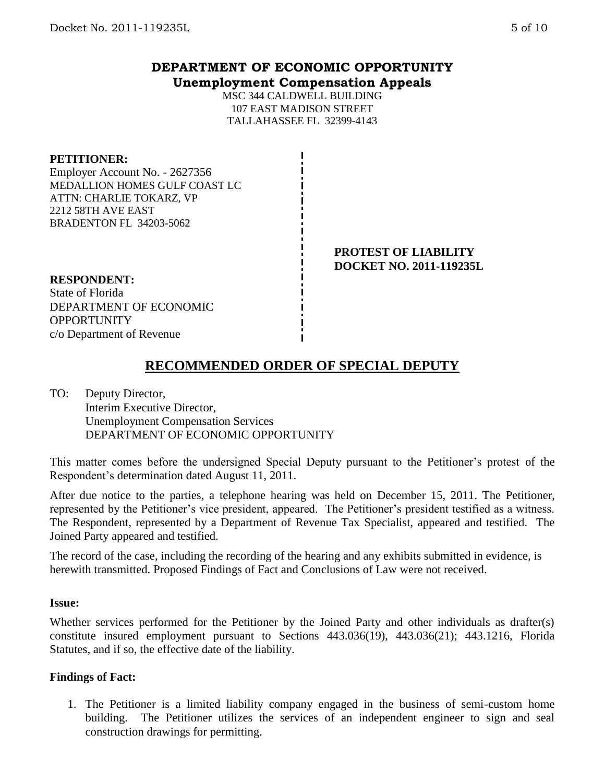## **DEPARTMENT OF ECONOMIC OPPORTUNITY Unemployment Compensation Appeals**

MSC 344 CALDWELL BUILDING 107 EAST MADISON STREET TALLAHASSEE FL 32399-4143

#### **PETITIONER:**

Employer Account No. - 2627356 MEDALLION HOMES GULF COAST LC ATTN: CHARLIE TOKARZ, VP 2212 58TH AVE EAST BRADENTON FL 34203-5062

> **PROTEST OF LIABILITY DOCKET NO. 2011-119235L**

### **RESPONDENT:**

State of Florida DEPARTMENT OF ECONOMIC **OPPORTUNITY** c/o Department of Revenue

# **RECOMMENDED ORDER OF SPECIAL DEPUTY**

TO: Deputy Director, Interim Executive Director, Unemployment Compensation Services DEPARTMENT OF ECONOMIC OPPORTUNITY

This matter comes before the undersigned Special Deputy pursuant to the Petitioner's protest of the Respondent's determination dated August 11, 2011.

After due notice to the parties, a telephone hearing was held on December 15, 2011. The Petitioner, represented by the Petitioner's vice president, appeared. The Petitioner's president testified as a witness. The Respondent, represented by a Department of Revenue Tax Specialist, appeared and testified. The Joined Party appeared and testified.

The record of the case, including the recording of the hearing and any exhibits submitted in evidence, is herewith transmitted. Proposed Findings of Fact and Conclusions of Law were not received.

### **Issue:**

Whether services performed for the Petitioner by the Joined Party and other individuals as drafter(s) constitute insured employment pursuant to Sections 443.036(19), 443.036(21); 443.1216, Florida Statutes, and if so, the effective date of the liability.

### **Findings of Fact:**

1. The Petitioner is a limited liability company engaged in the business of semi-custom home building. The Petitioner utilizes the services of an independent engineer to sign and seal construction drawings for permitting.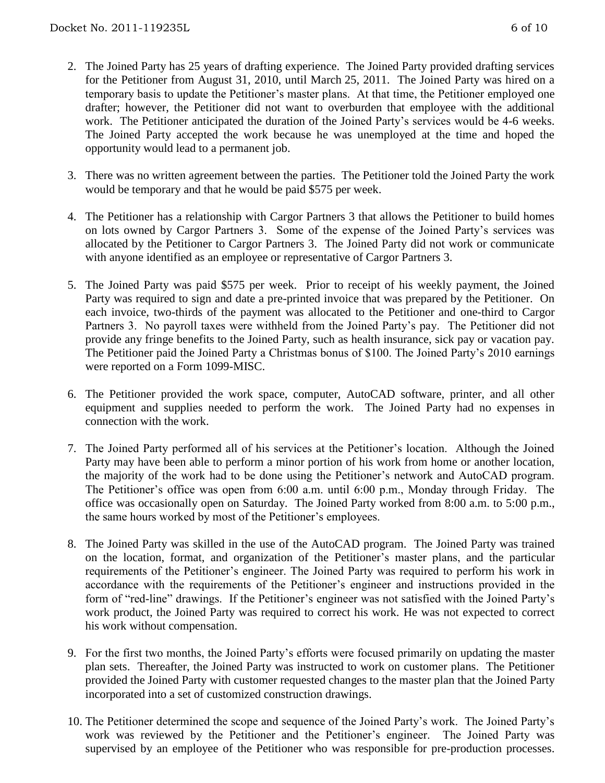- 2. The Joined Party has 25 years of drafting experience. The Joined Party provided drafting services for the Petitioner from August 31, 2010, until March 25, 2011. The Joined Party was hired on a temporary basis to update the Petitioner's master plans. At that time, the Petitioner employed one drafter; however, the Petitioner did not want to overburden that employee with the additional work. The Petitioner anticipated the duration of the Joined Party's services would be 4-6 weeks. The Joined Party accepted the work because he was unemployed at the time and hoped the opportunity would lead to a permanent job.
- 3. There was no written agreement between the parties. The Petitioner told the Joined Party the work would be temporary and that he would be paid \$575 per week.
- 4. The Petitioner has a relationship with Cargor Partners 3 that allows the Petitioner to build homes on lots owned by Cargor Partners 3. Some of the expense of the Joined Party's services was allocated by the Petitioner to Cargor Partners 3. The Joined Party did not work or communicate with anyone identified as an employee or representative of Cargor Partners 3.
- 5. The Joined Party was paid \$575 per week. Prior to receipt of his weekly payment, the Joined Party was required to sign and date a pre-printed invoice that was prepared by the Petitioner. On each invoice, two-thirds of the payment was allocated to the Petitioner and one-third to Cargor Partners 3. No payroll taxes were withheld from the Joined Party's pay. The Petitioner did not provide any fringe benefits to the Joined Party, such as health insurance, sick pay or vacation pay. The Petitioner paid the Joined Party a Christmas bonus of \$100. The Joined Party's 2010 earnings were reported on a Form 1099-MISC.
- 6. The Petitioner provided the work space, computer, AutoCAD software, printer, and all other equipment and supplies needed to perform the work. The Joined Party had no expenses in connection with the work.
- 7. The Joined Party performed all of his services at the Petitioner's location. Although the Joined Party may have been able to perform a minor portion of his work from home or another location, the majority of the work had to be done using the Petitioner's network and AutoCAD program. The Petitioner's office was open from 6:00 a.m. until 6:00 p.m., Monday through Friday. The office was occasionally open on Saturday. The Joined Party worked from 8:00 a.m. to 5:00 p.m., the same hours worked by most of the Petitioner's employees.
- 8. The Joined Party was skilled in the use of the AutoCAD program. The Joined Party was trained on the location, format, and organization of the Petitioner's master plans, and the particular requirements of the Petitioner's engineer. The Joined Party was required to perform his work in accordance with the requirements of the Petitioner's engineer and instructions provided in the form of "red-line" drawings. If the Petitioner's engineer was not satisfied with the Joined Party's work product, the Joined Party was required to correct his work. He was not expected to correct his work without compensation.
- 9. For the first two months, the Joined Party's efforts were focused primarily on updating the master plan sets. Thereafter, the Joined Party was instructed to work on customer plans. The Petitioner provided the Joined Party with customer requested changes to the master plan that the Joined Party incorporated into a set of customized construction drawings.
- 10. The Petitioner determined the scope and sequence of the Joined Party's work. The Joined Party's work was reviewed by the Petitioner and the Petitioner's engineer. The Joined Party was supervised by an employee of the Petitioner who was responsible for pre-production processes.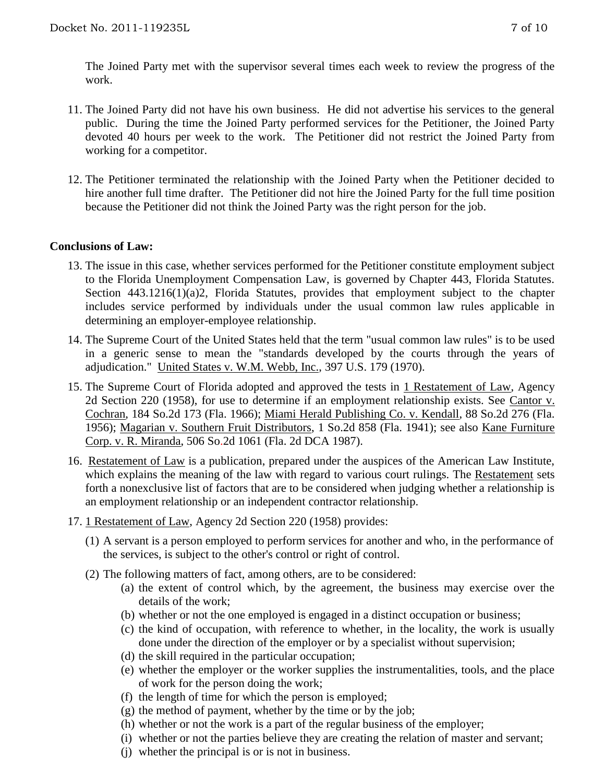The Joined Party met with the supervisor several times each week to review the progress of the work.

- 11. The Joined Party did not have his own business. He did not advertise his services to the general public. During the time the Joined Party performed services for the Petitioner, the Joined Party devoted 40 hours per week to the work. The Petitioner did not restrict the Joined Party from working for a competitor.
- 12. The Petitioner terminated the relationship with the Joined Party when the Petitioner decided to hire another full time drafter. The Petitioner did not hire the Joined Party for the full time position because the Petitioner did not think the Joined Party was the right person for the job.

## **Conclusions of Law:**

- 13. The issue in this case, whether services performed for the Petitioner constitute employment subject to the Florida Unemployment Compensation Law, is governed by Chapter 443, Florida Statutes. Section 443.1216(1)(a)2, Florida Statutes, provides that employment subject to the chapter includes service performed by individuals under the usual common law rules applicable in determining an employer-employee relationship.
- 14. The Supreme Court of the United States held that the term "usual common law rules" is to be used in a generic sense to mean the "standards developed by the courts through the years of adjudication." United States v. W.M. Webb, Inc., 397 U.S. 179 (1970).
- 15. The Supreme Court of Florida adopted and approved the tests in 1 Restatement of Law, Agency 2d Section 220 (1958), for use to determine if an employment relationship exists. See Cantor v. Cochran, 184 So.2d 173 (Fla. 1966); Miami Herald Publishing Co. v. Kendall, 88 So.2d 276 (Fla. 1956); Magarian v. Southern Fruit Distributors, 1 So.2d 858 (Fla. 1941); see also Kane Furniture Corp. v. R. Miranda, 506 So.2d 1061 (Fla. 2d DCA 1987).
- 16. Restatement of Law is a publication, prepared under the auspices of the American Law Institute, which explains the meaning of the law with regard to various court rulings. The Restatement sets forth a nonexclusive list of factors that are to be considered when judging whether a relationship is an employment relationship or an independent contractor relationship.
- 17. 1 Restatement of Law, Agency 2d Section 220 (1958) provides:
	- (1) A servant is a person employed to perform services for another and who, in the performance of the services, is subject to the other's control or right of control.
	- (2) The following matters of fact, among others, are to be considered:
		- (a) the extent of control which, by the agreement, the business may exercise over the details of the work;
		- (b) whether or not the one employed is engaged in a distinct occupation or business;
		- (c) the kind of occupation, with reference to whether, in the locality, the work is usually done under the direction of the employer or by a specialist without supervision;
		- (d) the skill required in the particular occupation;
		- (e) whether the employer or the worker supplies the instrumentalities, tools, and the place of work for the person doing the work;
		- (f) the length of time for which the person is employed;
		- (g) the method of payment, whether by the time or by the job;
		- (h) whether or not the work is a part of the regular business of the employer;
		- (i) whether or not the parties believe they are creating the relation of master and servant;
		- (j) whether the principal is or is not in business.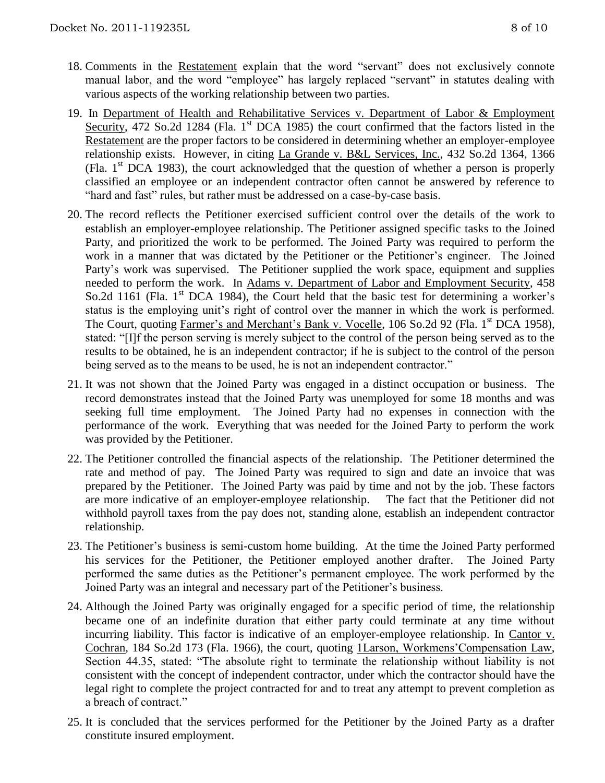- 18. Comments in the Restatement explain that the word "servant" does not exclusively connote manual labor, and the word "employee" has largely replaced "servant" in statutes dealing with various aspects of the working relationship between two parties.
- 19. In Department of Health and Rehabilitative Services v. Department of Labor & Employment Security, 472 So.2d 1284 (Fla. 1<sup>st</sup> DCA 1985) the court confirmed that the factors listed in the Restatement are the proper factors to be considered in determining whether an employer-employee relationship exists. However, in citing La Grande v. B&L Services, Inc., 432 So.2d 1364, 1366 (Fla. 1 st DCA 1983), the court acknowledged that the question of whether a person is properly classified an employee or an independent contractor often cannot be answered by reference to "hard and fast" rules, but rather must be addressed on a case-by-case basis.
- 20. The record reflects the Petitioner exercised sufficient control over the details of the work to establish an employer-employee relationship. The Petitioner assigned specific tasks to the Joined Party, and prioritized the work to be performed. The Joined Party was required to perform the work in a manner that was dictated by the Petitioner or the Petitioner's engineer. The Joined Party's work was supervised. The Petitioner supplied the work space, equipment and supplies needed to perform the work. In Adams v. Department of Labor and Employment Security, 458 So.2d 1161 (Fla. 1st DCA 1984), the Court held that the basic test for determining a worker's status is the employing unit's right of control over the manner in which the work is performed. The Court, quoting Farmer's and Merchant's Bank v. Vocelle, 106 So.2d 92 (Fla. 1<sup>st</sup> DCA 1958), stated: "[I]f the person serving is merely subject to the control of the person being served as to the results to be obtained, he is an independent contractor; if he is subject to the control of the person being served as to the means to be used, he is not an independent contractor."
- 21. It was not shown that the Joined Party was engaged in a distinct occupation or business. The record demonstrates instead that the Joined Party was unemployed for some 18 months and was seeking full time employment. The Joined Party had no expenses in connection with the performance of the work. Everything that was needed for the Joined Party to perform the work was provided by the Petitioner.
- 22. The Petitioner controlled the financial aspects of the relationship. The Petitioner determined the rate and method of pay. The Joined Party was required to sign and date an invoice that was prepared by the Petitioner. The Joined Party was paid by time and not by the job. These factors are more indicative of an employer-employee relationship. The fact that the Petitioner did not withhold payroll taxes from the pay does not, standing alone, establish an independent contractor relationship.
- 23. The Petitioner's business is semi-custom home building. At the time the Joined Party performed his services for the Petitioner, the Petitioner employed another drafter. The Joined Party performed the same duties as the Petitioner's permanent employee. The work performed by the Joined Party was an integral and necessary part of the Petitioner's business.
- 24. Although the Joined Party was originally engaged for a specific period of time, the relationship became one of an indefinite duration that either party could terminate at any time without incurring liability. This factor is indicative of an employer-employee relationship. In Cantor v. Cochran, 184 So.2d 173 (Fla. 1966), the court, quoting 1Larson, Workmens'Compensation Law, Section 44.35, stated: "The absolute right to terminate the relationship without liability is not consistent with the concept of independent contractor, under which the contractor should have the legal right to complete the project contracted for and to treat any attempt to prevent completion as a breach of contract."
- 25. It is concluded that the services performed for the Petitioner by the Joined Party as a drafter constitute insured employment.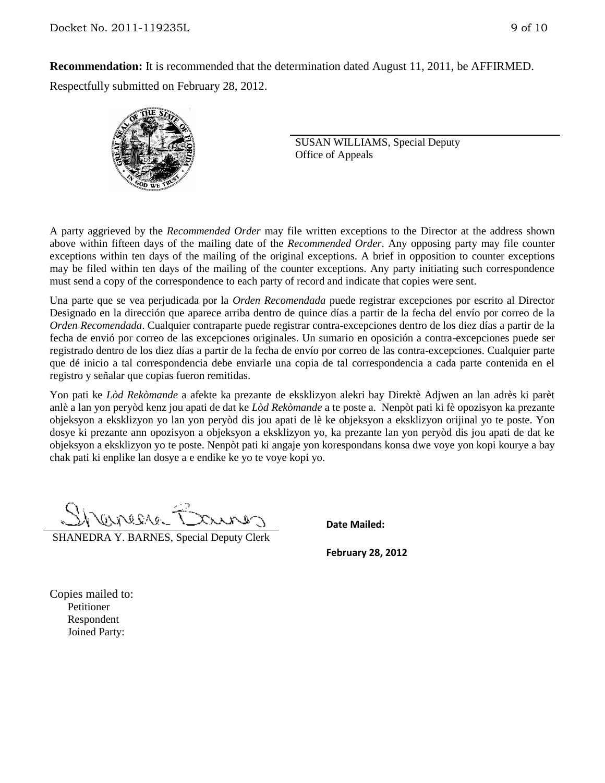**Recommendation:** It is recommended that the determination dated August 11, 2011, be AFFIRMED. Respectfully submitted on February 28, 2012.



| SUSAN WILLIAMS, Special Deputy |  |
|--------------------------------|--|
| Office of Appeals              |  |

A party aggrieved by the *Recommended Order* may file written exceptions to the Director at the address shown above within fifteen days of the mailing date of the *Recommended Order*. Any opposing party may file counter exceptions within ten days of the mailing of the original exceptions. A brief in opposition to counter exceptions may be filed within ten days of the mailing of the counter exceptions. Any party initiating such correspondence must send a copy of the correspondence to each party of record and indicate that copies were sent.

Una parte que se vea perjudicada por la *Orden Recomendada* puede registrar excepciones por escrito al Director Designado en la dirección que aparece arriba dentro de quince días a partir de la fecha del envío por correo de la *Orden Recomendada*. Cualquier contraparte puede registrar contra-excepciones dentro de los diez días a partir de la fecha de envió por correo de las excepciones originales. Un sumario en oposición a contra-excepciones puede ser registrado dentro de los diez días a partir de la fecha de envío por correo de las contra-excepciones. Cualquier parte que dé inicio a tal correspondencia debe enviarle una copia de tal correspondencia a cada parte contenida en el registro y señalar que copias fueron remitidas.

Yon pati ke *Lòd Rekòmande* a afekte ka prezante de eksklizyon alekri bay Direktè Adjwen an lan adrès ki parèt anlè a lan yon peryòd kenz jou apati de dat ke *Lòd Rekòmande* a te poste a. Nenpòt pati ki fè opozisyon ka prezante objeksyon a eksklizyon yo lan yon peryòd dis jou apati de lè ke objeksyon a eksklizyon orijinal yo te poste. Yon dosye ki prezante ann opozisyon a objeksyon a eksklizyon yo, ka prezante lan yon peryòd dis jou apati de dat ke objeksyon a eksklizyon yo te poste. Nenpòt pati ki angaje yon korespondans konsa dwe voye yon kopi kourye a bay chak pati ki enplike lan dosye a e endike ke yo te voye kopi yo.

LINEERS.

**Date Mailed:**

SHANEDRA Y. BARNES, Special Deputy Clerk

**February 28, 2012**

Copies mailed to: Petitioner Respondent Joined Party: